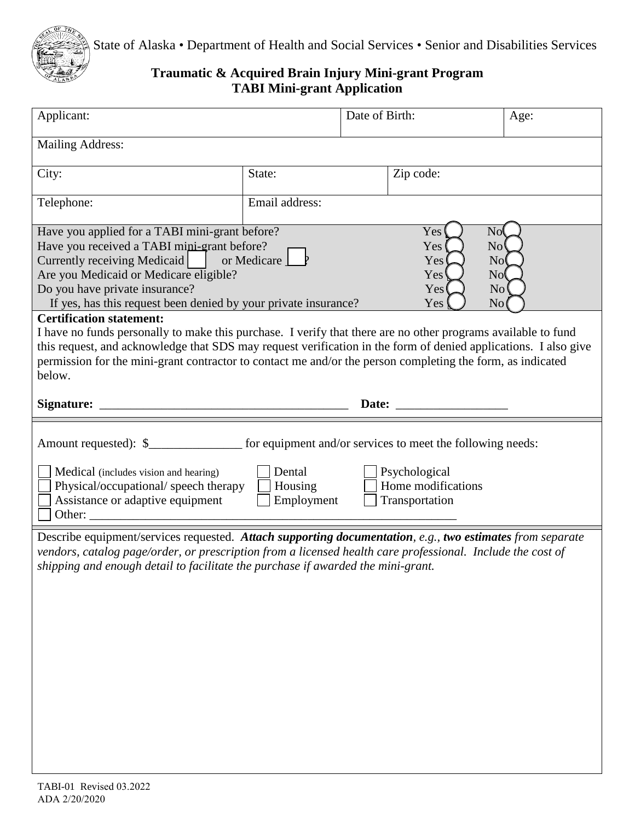

State of Alaska • Department of Health and Social Services • Senior and Disabilities Services

## **Traumatic & Acquired Brain Injury Mini-grant Program TABI Mini-grant Application**

| Applicant:                                                                                                                                                                                                                                                                                                                                                                                  |                | Date of Birth: |                                                                                                                                                                                                                                | Age:                                                  |  |
|---------------------------------------------------------------------------------------------------------------------------------------------------------------------------------------------------------------------------------------------------------------------------------------------------------------------------------------------------------------------------------------------|----------------|----------------|--------------------------------------------------------------------------------------------------------------------------------------------------------------------------------------------------------------------------------|-------------------------------------------------------|--|
| <b>Mailing Address:</b>                                                                                                                                                                                                                                                                                                                                                                     |                |                |                                                                                                                                                                                                                                |                                                       |  |
| City:                                                                                                                                                                                                                                                                                                                                                                                       | State:         |                | Zip code:                                                                                                                                                                                                                      |                                                       |  |
| Telephone:                                                                                                                                                                                                                                                                                                                                                                                  | Email address: |                |                                                                                                                                                                                                                                |                                                       |  |
| Have you applied for a TABI mini-grant before?<br>Have you received a TABI mini-grant before?<br>Currently receiving Medicaid   or Medicare<br>Are you Medicaid or Medicare eligible?<br>Do you have private insurance?<br>If yes, has this request been denied by your private insurance?                                                                                                  |                |                | Yes<br>Yes <sup>(</sup><br>Yes<br>Yes <sup>1</sup><br>Yes<br>Yes                                                                                                                                                               | Nof<br>No'<br>No(<br>N <sub>0</sub><br>$\rm No$<br>No |  |
| <b>Certification statement:</b><br>I have no funds personally to make this purchase. I verify that there are no other programs available to fund<br>this request, and acknowledge that SDS may request verification in the form of denied applications. I also give<br>permission for the mini-grant contractor to contact me and/or the person completing the form, as indicated<br>below. |                |                |                                                                                                                                                                                                                                |                                                       |  |
|                                                                                                                                                                                                                                                                                                                                                                                             |                |                | Date: the contract of the contract of the contract of the contract of the contract of the contract of the contract of the contract of the contract of the contract of the contract of the contract of the contract of the cont |                                                       |  |
| Amount requested): \$___________________ for equipment and/or services to meet the following needs:<br>Dental<br>Psychological<br>Medical (includes vision and hearing)<br>Home modifications<br>Physical/occupational/ speech therapy<br>Housing<br>Assistance or adaptive equipment<br>Employment<br>Transportation<br>Other: $\overline{\phantom{a}}$                                    |                |                |                                                                                                                                                                                                                                |                                                       |  |
| Describe equipment/services requested. Attach supporting documentation, e.g., two estimates from separate<br>vendors, catalog page/order, or prescription from a licensed health care professional. Include the cost of<br>shipping and enough detail to facilitate the purchase if awarded the mini-grant.                                                                                 |                |                |                                                                                                                                                                                                                                |                                                       |  |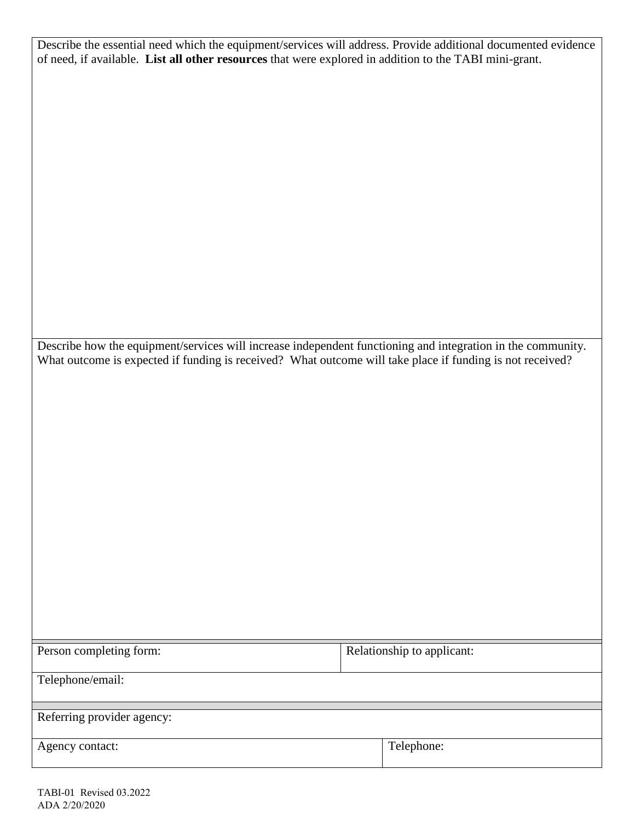Describe the essential need which the equipment/services will address. Provide additional documented evidence of need, if available. **List all other resources** that were explored in addition to the TABI mini-grant.

 What outcome is expected if funding is received? What outcome will take place if funding is not received? Describe how the equipment/services will increase independent functioning and integration in the community.

| Person completing form:    | Relationship to applicant: |
|----------------------------|----------------------------|
| Telephone/email:           |                            |
|                            |                            |
| Referring provider agency: |                            |
| Agency contact:            | Telephone:                 |